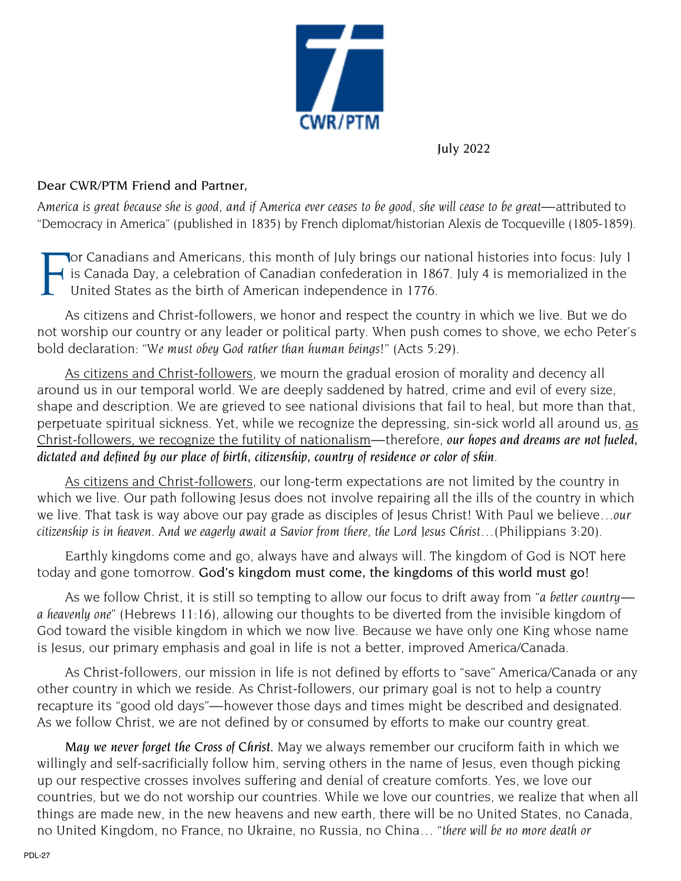

July 2022

## Dear CWR/PTM Friend and Partner,

America is great because she is good, and if America ever ceases to be good, she will cease to be great—attributed to "Democracy in America" (published in 1835) by French diplomat/historian Alexis de Tocqueville (1805-1859).

F **Nor Canadians and Americans, this month of July brings our national histories into focus: July 1** is Canada Day, a celebration of Canadian confederation in 1867. July 4 is memorialized in the United States as the birth of American independence in 1776.

As citizens and Christ-followers, we honor and respect the country in which we live. But we do not worship our country or any leader or political party. When push comes to shove, we echo Peter's bold declaration: *"We must obey God rather than human beings!"* (Acts 5:29).

As citizens and Christ-followers, we mourn the gradual erosion of morality and decency all around us in our temporal world. We are deeply saddened by hatred, crime and evil of every size, shape and description. We are grieved to see national divisions that fail to heal, but more than that, perpetuate spiritual sickness. Yet, while we recognize the depressing, sin-sick world all around us, as Christ-followers, we recognize the futility of nationalism—therefore, *our hopes and dreams are not fueled, dictated and defined by our place of birth, citizenship, country of residence or color of skin*.

As citizens and Christ-followers, our long-term expectations are not limited by the country in which we live. Our path following Jesus does not involve repairing all the ills of the country in which we live. That task is way above our pay grade as disciples of Jesus Christ! With Paul we believe*…our citizenship is in heaven. And we eagerly await a Savior from there, the Lord Jesus Christ…*(Philippians 3:20).

Earthly kingdoms come and go, always have and always will. The kingdom of God is NOT here today and gone tomorrow. God's kingdom must come, the kingdoms of this world must go!

As we follow Christ, it is still so tempting to allow our focus to drift away from *"a better country a heavenly one"* (Hebrews 11:16), allowing our thoughts to be diverted from the invisible kingdom of God toward the visible kingdom in which we now live. Because we have only one King whose name is Jesus, our primary emphasis and goal in life is not a better, improved America/Canada.

As Christ-followers, our mission in life is not defined by efforts to "save" America/Canada or any other country in which we reside. As Christ-followers, our primary goal is not to help a country recapture its "good old days"—however those days and times might be described and designated. As we follow Christ, we are not defined by or consumed by efforts to make our country great.

*May we never forget the Cross of Christ.* May we always remember our cruciform faith in which we willingly and self-sacrificially follow him, serving others in the name of Jesus, even though picking up our respective crosses involves suffering and denial of creature comforts. Yes, we love our countries, but we do not worship our countries. While we love our countries, we realize that when all things are made new, in the new heavens and new earth, there will be no United States, no Canada, no United Kingdom, no France, no Ukraine, no Russia, no China… "*there will be no more death or*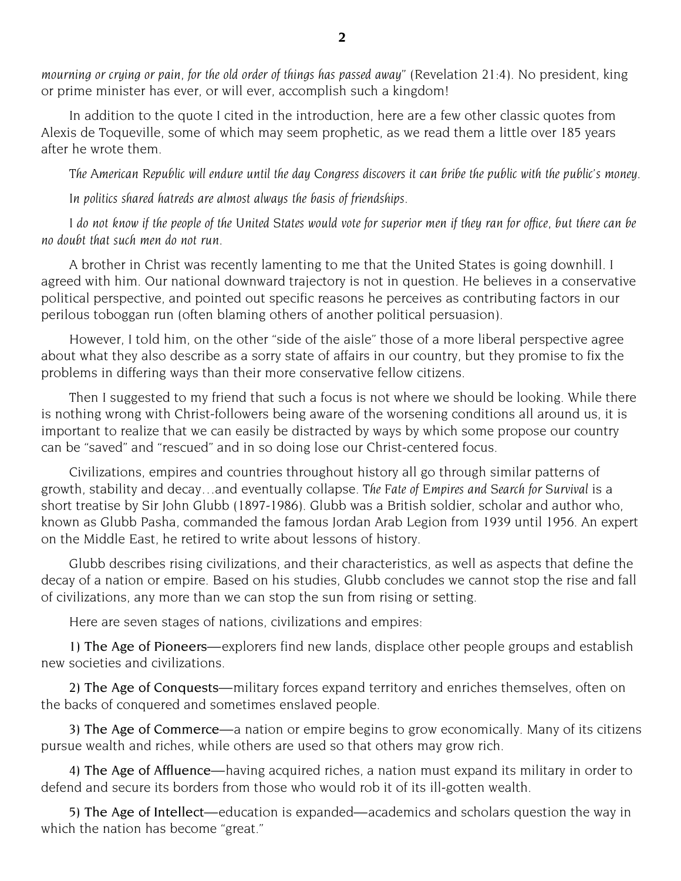*mourning or crying or pain, for the old order of things has passed away"* (Revelation 21:4). No president, king or prime minister has ever, or will ever, accomplish such a kingdom!

In addition to the quote I cited in the introduction, here are a few other classic quotes from Alexis de Toqueville, some of which may seem prophetic, as we read them a little over 185 years after he wrote them.

The American Republic will endure until the day Congress discovers it can bribe the public with the public's money.

*In politics shared hatreds are almost always the basis of friendships.*

I do not know if the people of the United States would vote for superior men if they ran for office, but there can be *no doubt that such men do not run.*

A brother in Christ was recently lamenting to me that the United States is going downhill. I agreed with him. Our national downward trajectory is not in question. He believes in a conservative political perspective, and pointed out specific reasons he perceives as contributing factors in our perilous toboggan run (often blaming others of another political persuasion).

However, I told him, on the other "side of the aisle" those of a more liberal perspective agree about what they also describe as a sorry state of affairs in our country, but they promise to fix the problems in differing ways than their more conservative fellow citizens.

Then I suggested to my friend that such a focus is not where we should be looking. While there is nothing wrong with Christ-followers being aware of the worsening conditions all around us, it is important to realize that we can easily be distracted by ways by which some propose our country can be "saved" and "rescued" and in so doing lose our Christ-centered focus.

Civilizations, empires and countries throughout history all go through similar patterns of growth, stability and decay…and eventually collapse. *The Fate of Empires and Search for Survival* is a short treatise by Sir John Glubb (1897-1986). Glubb was a British soldier, scholar and author who, known as Glubb Pasha, commanded the famous Jordan Arab Legion from 1939 until 1956. An expert on the Middle East, he retired to write about lessons of history.

Glubb describes rising civilizations, and their characteristics, as well as aspects that define the decay of a nation or empire. Based on his studies, Glubb concludes we cannot stop the rise and fall of civilizations, any more than we can stop the sun from rising or setting.

Here are seven stages of nations, civilizations and empires:

1) The Age of Pioneers—explorers find new lands, displace other people groups and establish new societies and civilizations.

2) The Age of Conquests—military forces expand territory and enriches themselves, often on the backs of conquered and sometimes enslaved people.

3) The Age of Commerce—a nation or empire begins to grow economically. Many of its citizens pursue wealth and riches, while others are used so that others may grow rich.

4) The Age of Affluence—having acquired riches, a nation must expand its military in order to defend and secure its borders from those who would rob it of its ill-gotten wealth.

5) The Age of Intellect—education is expanded—academics and scholars question the way in which the nation has become "great."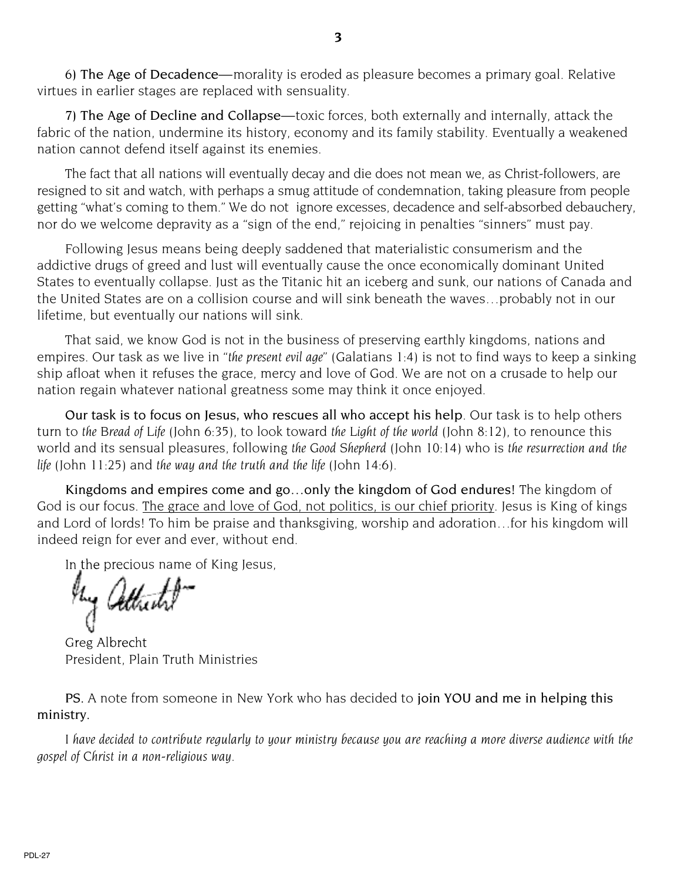7) The Age of Decline and Collapse—toxic forces, both externally and internally, attack the fabric of the nation, undermine its history, economy and its family stability. Eventually a weakened nation cannot defend itself against its enemies.

The fact that all nations will eventually decay and die does not mean we, as Christ-followers, are resigned to sit and watch, with perhaps a smug attitude of condemnation, taking pleasure from people getting "what's coming to them." We do not ignore excesses, decadence and self-absorbed debauchery, nor do we welcome depravity as a "sign of the end," rejoicing in penalties "sinners" must pay.

Following Jesus means being deeply saddened that materialistic consumerism and the addictive drugs of greed and lust will eventually cause the once economically dominant United States to eventually collapse. Just as the Titanic hit an iceberg and sunk, our nations of Canada and the United States are on a collision course and will sink beneath the waves…probably not in our lifetime, but eventually our nations will sink.

That said, we know God is not in the business of preserving earthly kingdoms, nations and empires. Our task as we live in *"the present evil age"* (Galatians 1:4) is not to find ways to keep a sinking ship afloat when it refuses the grace, mercy and love of God. We are not on a crusade to help our nation regain whatever national greatness some may think it once enjoyed.

Our task is to focus on Jesus, who rescues all who accept his help. Our task is to help others turn to *the Bread of Life* (John 6:35), to look toward *the Light of the world* (John 8:12), to renounce this world and its sensual pleasures, following *the Good Shepherd* (John 10:14) who is *the resurrection and the life* (John 11:25) and *the way and the truth and the life* (John 14:6).

Kingdoms and empires come and go…only the kingdom of God endures! The kingdom of God is our focus. The grace and love of God, not politics, is our chief priority. Jesus is King of kings and Lord of lords! To him be praise and thanksgiving, worship and adoration…for his kingdom will indeed reign for ever and ever, without end.

In the precious name of King Jesus,

Greg Albrecht President, Plain Truth Ministries

PS. A note from someone in New York who has decided to join YOU and me in helping this ministry.

I have decided to contribute regularly to your ministry because you are reaching a more diverse audience with the *gospel of Christ in a non-religious way.*